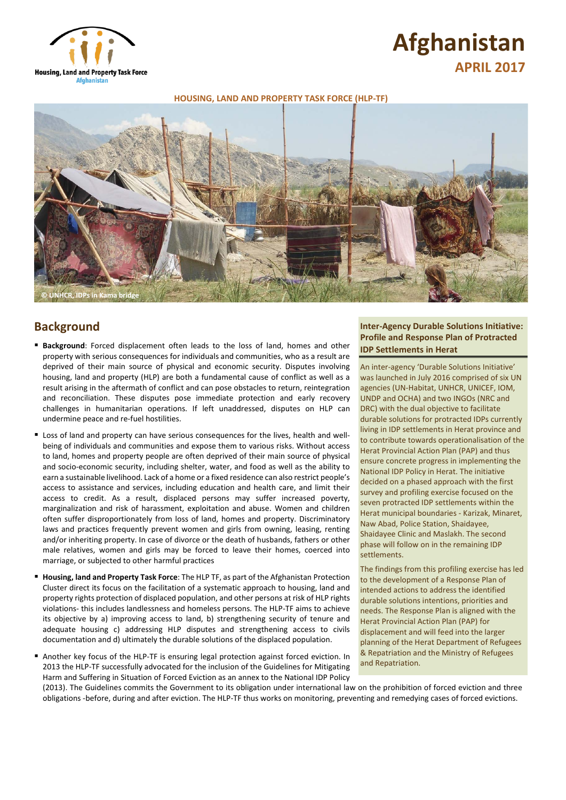

# **Afghanistan APRIL 2017**

### **HOUSING, LAND AND PROPERTY TASK FORCE (HLP-TF)**



# **Background**

- **Background**: Forced displacement often leads to the loss of land, homes and other property with serious consequences for individuals and communities, who as a result are deprived of their main source of physical and economic security. Disputes involving housing, land and property (HLP) are both a fundamental cause of conflict as well as a result arising in the aftermath of conflict and can pose obstacles to return, reintegration and reconciliation. These disputes pose immediate protection and early recovery challenges in humanitarian operations. If left unaddressed, disputes on HLP can undermine peace and re-fuel hostilities.
- Loss of land and property can have serious consequences for the lives, health and wellbeing of individuals and communities and expose them to various risks. Without access to land, homes and property people are often deprived of their main source of physical and socio-economic security, including shelter, water, and food as well as the ability to earn a sustainable livelihood. Lack of a home or a fixed residence can also restrict people's access to assistance and services, including education and health care, and limit their access to credit. As a result, displaced persons may suffer increased poverty, marginalization and risk of harassment, exploitation and abuse. Women and children often suffer disproportionately from loss of land, homes and property. Discriminatory laws and practices frequently prevent women and girls from owning, leasing, renting and/or inheriting property. In case of divorce or the death of husbands, fathers or other male relatives, women and girls may be forced to leave their homes, coerced into marriage, or subjected to other harmful practices
- **Housing, land and Property Task Force**: The HLP TF, as part of the Afghanistan Protection Cluster direct its focus on the facilitation of a systematic approach to housing, land and property rights protection of displaced population, and other persons at risk of HLP rights violations- this includes landlessness and homeless persons. The HLP-TF aims to achieve its objective by a) improving access to land, b) strengthening security of tenure and adequate housing c) addressing HLP disputes and strengthening access to civils documentation and d) ultimately the durable solutions of the displaced population.
- Another key focus of the HLP-TF is ensuring legal protection against forced eviction. In 2013 the HLP-TF successfully advocated for the inclusion of the Guidelines for Mitigating Harm and Suffering in Situation of Forced Eviction as an annex to the National IDP Policy

## **Inter-Agency Durable Solutions Initiative: Profile and Response Plan of Protracted IDP Settlements in Herat**

An inter-agency 'Durable Solutions Initiative' was launched in July 2016 comprised of six UN agencies (UN-Habitat, UNHCR, UNICEF, IOM, UNDP and OCHA) and two INGOs (NRC and DRC) with the dual objective to facilitate durable solutions for protracted IDPs currently living in IDP settlements in Herat province and to contribute towards operationalisation of the Herat Provincial Action Plan (PAP) and thus ensure concrete progress in implementing the National IDP Policy in Herat. The initiative decided on a phased approach with the first survey and profiling exercise focused on the seven protracted IDP settlements within the Herat municipal boundaries - Karizak, Minaret, Naw Abad, Police Station, Shaidayee, Shaidayee Clinic and Maslakh. The second phase will follow on in the remaining IDP settlements.

The findings from this profiling exercise has led to the development of a Response Plan of intended actions to address the identified durable solutions intentions, priorities and needs. The Response Plan is aligned with the Herat Provincial Action Plan (PAP) for displacement and will feed into the larger planning of the Herat Department of Refugees & Repatriation and the Ministry of Refugees and Repatriation.

(2013). The Guidelines commits the Government to its obligation under international law on the prohibition of forced eviction and three obligations -before, during and after eviction. The HLP-TF thus works on monitoring, preventing and remedying cases of forced evictions.